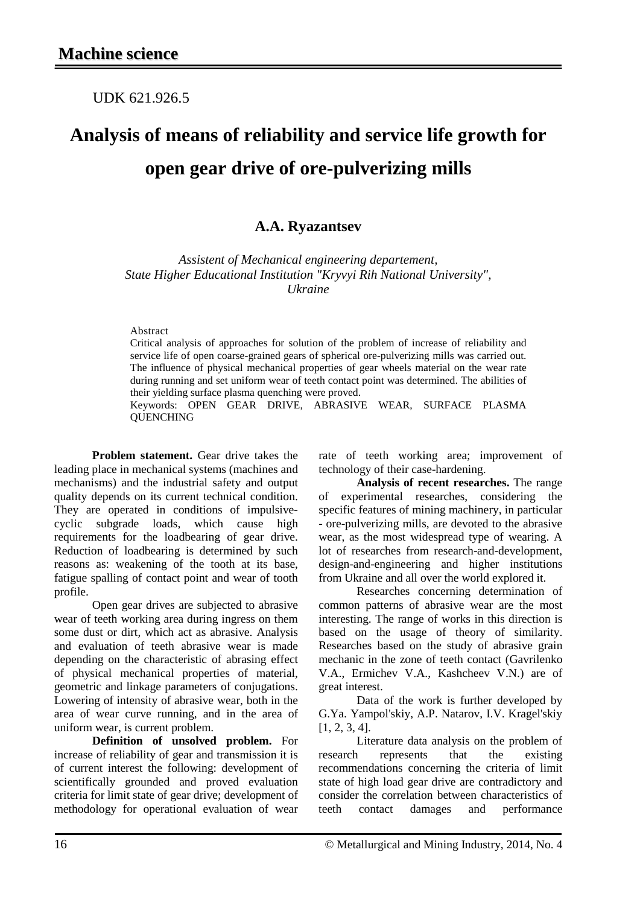UDK 621.926.5

# **Analysis of means of reliability and service life growth for open gear drive of ore-pulverizing mills**

# **A.A. Ryazantsev**

*Assistent of Mechanical engineering departement, State Higher Educational Institution "Kryvyi Rih National University", Ukraine*

#### Abstract

Critical analysis of approaches for solution of the problem of increase of reliability and service life of open coarse-grained gears of spherical ore-pulverizing mills was carried out. The influence of physical mechanical properties of gear wheels material on the wear rate during running and set uniform wear of teeth contact point was determined. The abilities of their yielding surface plasma quenching were proved.

Keywords: OPEN GEAR DRIVE, ABRASIVE WEAR, SURFACE PLASMA **OUENCHING** 

**Problem statement.** Gear drive takes the leading place in mechanical systems (machines and mechanisms) and the industrial safety and output quality depends on its current technical condition. They are operated in conditions of impulsivecyclic subgrade loads, which cause high requirements for the loadbearing of gear drive. Reduction of loadbearing is determined by such reasons as: weakening of the tooth at its base, fatigue spalling of contact point and wear of tooth profile.

Open gear drives are subjected to abrasive wear of teeth working area during ingress on them some dust or dirt, which act as abrasive. Analysis and evaluation of teeth abrasive wear is made depending on the characteristic of abrasing effect of physical mechanical properties of material, geometric and linkage parameters of conjugations. Lowering of intensity of abrasive wear, both in the area of wear curve running, and in the area of uniform wear, is current problem.

**Definition of unsolved problem.** For increase of reliability of gear and transmission it is of current interest the following: development of scientifically grounded and proved evaluation criteria for limit state of gear drive; development of methodology for operational evaluation of wear rate of teeth working area; improvement of technology of their case-hardening.

**Analysis of recent researches.** The range of experimental researches, considering the specific features of mining machinery, in particular - ore-pulverizing mills, are devoted to the abrasive wear, as the most widespread type of wearing. A lot of researches from research-and-development, design-and-engineering and higher institutions from Ukraine and all over the world explored it.

Researches concerning determination of common patterns of abrasive wear are the most interesting. The range of works in this direction is based on the usage of theory of similarity. Researches based on the study of abrasive grain mechanic in the zone of teeth contact (Gavrilenko V.A., Ermichev V.A., Kashcheev V.N.) are of great interest.

Data of the work is further developed by G.Ya. Yampol'skiy, A.P. Natarov, I.V. Kragel'skiy [1, 2, 3, 4].

Literature data analysis on the problem of research represents that the existing recommendations concerning the criteria of limit state of high load gear drive are contradictory and consider the correlation between characteristics of teeth contact damages and performance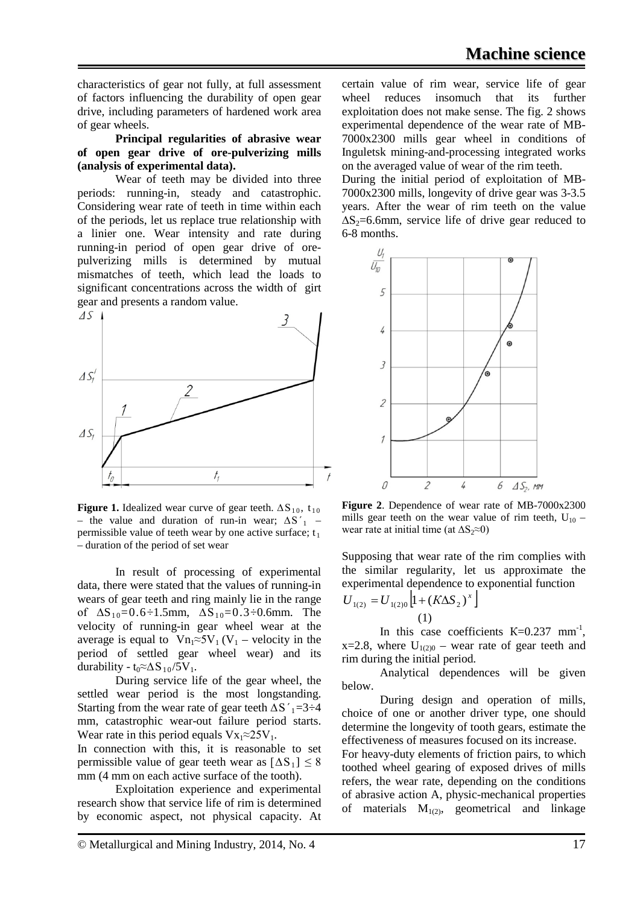characteristics of gear not fully, at full assessment of factors influencing the durability of open gear drive, including parameters of hardened work area of gear wheels.

#### **Principal regularities of abrasive wear of open gear drive of ore-pulverizing mills (analysis of experimental data).**

Wear of teeth may be divided into three periods: running-in, steady and catastrophic. Considering wear rate of teeth in time within each of the periods, let us replace true relationship with a linier one. Wear intensity and rate during running-in period of open gear drive of orepulverizing mills is determined by mutual mismatches of teeth, which lead the loads to significant concentrations across the width of girt gear and presents a random value.



**Figure 1.** Idealized wear curve of gear teeth.  $\Delta S_{10}$ , t<sub>10</sub> – the value and duration of run-in wear;  $\Delta S'_{1}$  – permissible value of teeth wear by one active surface;  $t_1$ – duration of the period of set wear

In result of processing of experimental data, there were stated that the values of running-in wears of gear teeth and ring mainly lie in the range of  $\Delta S_{10} = 0.6 \div 1.5$ mm,  $\Delta S_{10} = 0.3 \div 0.6$ mm. The velocity of running-in gear wheel wear at the average is equal to  $Vn_1 \approx 5V_1 (V_1 -$  velocity in the period of settled gear wheel wear) and its durability - t<sub>0</sub>≈ $\Delta S_{10}/5V_1$ .

During service life of the gear wheel, the settled wear period is the most longstanding. Starting from the wear rate of gear teeth  $\Delta S'$ <sub>1</sub>=3÷4 mm, catastrophic wear-out failure period starts. Wear rate in this period equals  $V_{X_1} \approx 25V_1$ .

In connection with this, it is reasonable to set permissible value of gear teeth wear as  $[\Delta S_1] \leq 8$ mm (4 mm on each active surface of the tooth).

Exploitation experience and experimental research show that service life of rim is determined by economic aspect, not physical capacity. At

© Metallurgical and Mining Industry, 2014, No. 4 17

certain value of rim wear, service life of gear wheel reduces insomuch that its further exploitation does not make sense. The fig. 2 shows experimental dependence of the wear rate of MB-7000х2300 mills gear wheel in conditions of Inguletsk mining-and-processing integrated works on the averaged value of wear of the rim teeth.

During the initial period of exploitation of MB-7000х2300 mills, longevity of drive gear was 3-3.5 years. After the wear of rim teeth on the value  $\Delta S_2$ =6.6mm, service life of drive gear reduced to 6-8 months.



**Figure 2**. Dependence of wear rate of MB-7000х2300 mills gear teeth on the wear value of rim teeth,  $U_{10}$  – wear rate at initial time (at  $\Delta S_2 \approx 0$ )

Supposing that wear rate of the rim complies with the similar regularity, let us approximate the experimental dependence to exponential function

$$
U_{1(2)} = U_{1(2)0} \left[ 1 + (K \Delta S_2)^x \right]
$$

$$
(\mathbf{1})
$$

In this case coefficients  $K=0.237$  mm<sup>-1</sup>,  $x=2.8$ , where  $U_{1(2)0}$  – wear rate of gear teeth and rim during the initial period.

Analytical dependences will be given below.

During design and operation of mills, choice of one or another driver type, one should determine the longevity of tooth gears, estimate the effectiveness of measures focused on its increase.

For heavy-duty elements of friction pairs, to which toothed wheel gearing of exposed drives of mills refers, the wear rate, depending on the conditions of abrasive action A, physic-mechanical properties of materials  $M<sub>1(2)</sub>$ , geometrical and linkage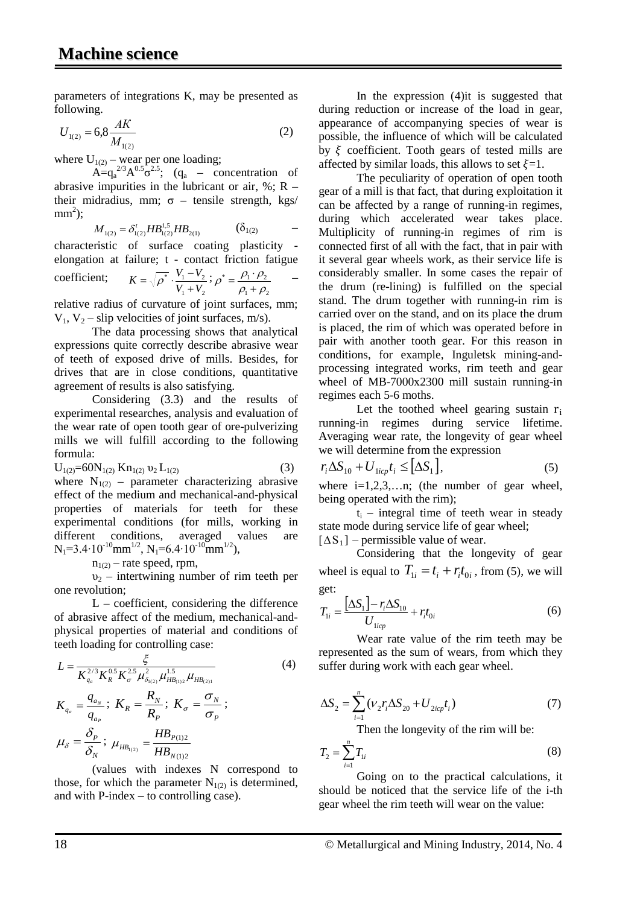parameters of integrations K, may be presented as following.

$$
U_{1(2)} = 6.8 \frac{AK}{M_{1(2)}}\tag{2}
$$

where  $U_{1(2)}$  – wear per one loading;

 $A=q_a^{2/3}A^{0.5}\bar{\sigma}^{2.5}$ ;  $(q_a -$  concentration of abrasive impurities in the lubricant or air, %;  $R$ their midradius, mm;  $\sigma$  – tensile strength, kgs/  $mm<sup>2</sup>$ );

$$
M_{1(2)} = \delta_{1(2)}^t H B_{1(2)}^{1,5} H B_{2(1)} \qquad (\delta_{1(2)} -
$$

characteristic of surface coating plasticity elongation at failure; t - contact friction fatigue coefficient;  $1$   $\cdot$   $\cdot$  2 \*  $v_1 - v_2$  $V_1 + V$  $K = \sqrt{\rho^*} \cdot \frac{V_1 - V_2}{V_1 + V_2}$ ;  $1 + \nu_2$  $^*$   $\_\,\mu_1 \cdot \mu_2$  $\rho^* = \frac{\rho_1 \cdot \rho_2}{\rho_1 + \rho_2} \qquad -$ 

relative radius of curvature of joint surfaces, mm;  $V_1$ ,  $V_2$  – slip velocities of joint surfaces, m/s).

The data processing shows that analytical expressions quite correctly describe abrasive wear of teeth of exposed drive of mills. Besides, for drives that are in close conditions, quantitative agreement of results is also satisfying.

Considering (3.3) and the results of experimental researches, analysis and evaluation of the wear rate of open tooth gear of ore-pulverizing mills we will fulfill according to the following formula:

 $U_{1(2)}=60N_{1(2)}$  Kn<sub>1(2)</sub>  $v_2 L_{1(2)}$  (3) where  $N_{1(2)}$  – parameter characterizing abrasive effect of the medium and mechanical-and-physical properties of materials for teeth for these experimental conditions (for mills, working in different conditions, averaged values are  $N_1=3.4\cdot 10^{-10}$ mm<sup>1/2</sup>,  $N_1=6.4\cdot 10^{-10}$ mm<sup>1/2</sup>),

 $n_{1(2)}$  – rate speed, rpm,

 $v_2$  – intertwining number of rim teeth per one revolution;

L – coefficient, considering the difference of abrasive affect of the medium, mechanical-andphysical properties of material and conditions of teeth loading for controlling case:

$$
L = \frac{\xi}{K_{q_a}^{2/3} K_R^{0.5} K_{\sigma}^{2.5} \mu_{\delta_{1(2)}}^2 \mu_{HB_{(1)2}}^{1.5} \mu_{HB_{(2)1}}} \tag{4}
$$
  

$$
K_{q_a} = \frac{q_{a_N}}{q_{a_P}}; K_R = \frac{R_N}{R_P}; K_{\sigma} = \frac{\sigma_N}{\sigma_P};
$$
  

$$
\mu_{\delta} = \frac{\delta_P}{\delta_N}; \ \mu_{HB_{1(2)}} = \frac{HB_{P(1)2}}{HB_{N(1)2}}
$$

(values with indexes N correspond to those, for which the parameter  $N_{1(2)}$  is determined, and with P-index – to controlling case).

In the expression (4)it is suggested that during reduction or increase of the load in gear, appearance of accompanying species of wear is possible, the influence of which will be calculated by  $\xi$  coefficient. Tooth gears of tested mills are affected by similar loads, this allows to set  $\xi=1$ .

The peculiarity of operation of open tooth gear of a mill is that fact, that during exploitation it can be affected by a range of running-in regimes, during which accelerated wear takes place. Multiplicity of running-in regimes of rim is connected first of all with the fact, that in pair with it several gear wheels work, as their service life is considerably smaller. In some cases the repair of the drum (re-lining) is fulfilled on the special stand. The drum together with running-in rim is carried over on the stand, and on its place the drum is placed, the rim of which was operated before in pair with another tooth gear. For this reason in conditions, for example, Inguletsk mining-andprocessing integrated works, rim teeth and gear wheel of MB-7000х2300 mill sustain running-in regimes each 5-6 moths.

Let the toothed wheel gearing sustain  $r_i$ running-in regimes during service lifetime. Averaging wear rate, the longevity of gear wheel we will determine from the expression

$$
r_i \Delta S_{10} + U_{1icp} t_i \leq [\Delta S_1],\tag{5}
$$

where  $i=1,2,3,...n$ ; (the number of gear wheel, being operated with the rim);

 $t_i$  – integral time of teeth wear in steady state mode during service life of gear wheel;

 $[\Delta S_1]$  – permissible value of wear.

Considering that the longevity of gear wheel is equal to  $T_i = t_i + r_i t_{0i}$ , from (5), we will get:

$$
T_{1i} = \frac{[\Delta S_1] - r_i \Delta S_{10}}{U_{1icp}} + r_i t_{0i}
$$
 (6)

Wear rate value of the rim teeth may be represented as the sum of wears, from which they suffer during work with each gear wheel.

$$
\Delta S_2 = \sum_{i=1}^n \left( V_2 r_i \Delta S_{20} + U_{2icp} t_i \right) \tag{7}
$$

Then the longevity of the rim will be:

$$
T_2 = \sum_{i=1}^{n} T_{1i}
$$
 (8)

Going on to the practical calculations, it should be noticed that the service life of the i-th gear wheel the rim teeth will wear on the value: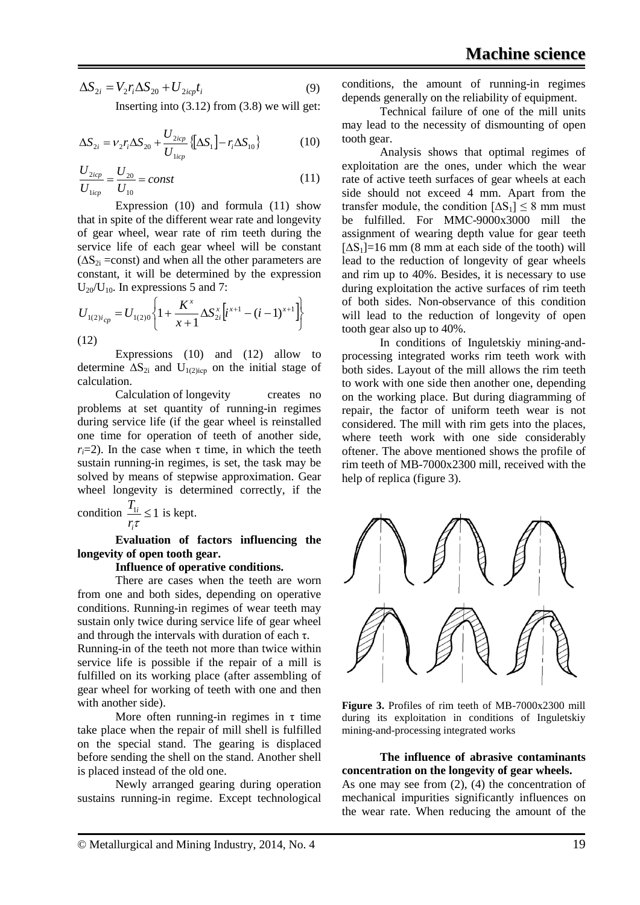$$
\Delta S_{2i} = V_2 r_i \Delta S_{20} + U_{2icp} t_i
$$
 (9)  
Inserting into (3.12) from (3.8) we will get:

$$
\Delta S_{2i} = v_2 r_i \Delta S_{20} + \frac{U_{2icp}}{U_{1icp}} \{ [\Delta S_1] - r_i \Delta S_{10} \}
$$
 (10)

$$
\frac{U_{2icp}}{U_{1icp}} = \frac{U_{20}}{U_{10}} = const
$$
\n(11)

Expression (10) and formula (11) show that in spite of the different wear rate and longevity of gear wheel, wear rate of rim teeth during the service life of each gear wheel will be constant  $(\Delta S_{2i} = const)$  and when all the other parameters are constant, it will be determined by the expression  $U_{20}/U_{10}$ . In expressions 5 and 7:

$$
U_{1(2)i_{cp}} = U_{1(2)0} \left\{ 1 + \frac{K^x}{x+1} \Delta S_{2i}^x \left[ i^{x+1} - (i-1)^{x+1} \right] \right\}
$$
\n(12)

Expressions (10) and (12) allow to determine  $\Delta S_{2i}$  and U<sub>1(2)icp</sub> on the initial stage of calculation.

Calculation of longevity creates no problems at set quantity of running-in regimes during service life (if the gear wheel is reinstalled one time for operation of teeth of another side,  $r_i=2$ ). In the case when  $\tau$  time, in which the teeth sustain running-in regimes, is set, the task may be solved by means of stepwise approximation. Gear wheel longevity is determined correctly, if the  $\frac{T_{1i}}{T} \leq 1$  is kept.

condition 
$$
\frac{r_{1i}}{r_i \tau} \le 1
$$
 is k

**Evaluation of factors influencing the longevity of open tooth gear.**

#### **Influence of operative conditions.**

There are cases when the teeth are worn from one and both sides, depending on operative conditions. Running-in regimes of wear teeth may sustain only twice during service life of gear wheel and through the intervals with duration of each  $\tau$ .

Running-in of the teeth not more than twice within service life is possible if the repair of a mill is fulfilled on its working place (after assembling of gear wheel for working of teeth with one and then with another side).

More often running-in regimes in  $\tau$  time take place when the repair of mill shell is fulfilled on the special stand. The gearing is displaced before sending the shell on the stand. Another shell is placed instead of the old one.

Newly arranged gearing during operation sustains running-in regime. Except technological

conditions, the amount of running-in regimes depends generally on the reliability of equipment.

Technical failure of one of the mill units may lead to the necessity of dismounting of open tooth gear.

Analysis shows that optimal regimes of exploitation are the ones, under which the wear rate of active teeth surfaces of gear wheels at each side should not exceed 4 mm. Apart from the transfer module, the condition  $[\Delta S_1] \leq 8$  mm must be fulfilled. For MMС-9000x3000 mill the assignment of wearing depth value for gear teeth  $[\Delta S_1] = 16$  mm (8 mm at each side of the tooth) will lead to the reduction of longevity of gear wheels and rim up to 40%. Besides, it is necessary to use during exploitation the active surfaces of rim teeth of both sides. Non-observance of this condition will lead to the reduction of longevity of open tooth gear also up to 40%.

In conditions of Inguletskiy mining-andprocessing integrated works rim teeth work with both sides. Layout of the mill allows the rim teeth to work with one side then another one, depending on the working place. But during diagramming of repair, the factor of uniform teeth wear is not considered. The mill with rim gets into the places, where teeth work with one side considerably oftener. The above mentioned shows the profile of rim teeth of МB-7000х2300 mill, received with the help of replica (figure 3).



**Figure 3.** Profiles of rim teeth of МB-7000х2300 mill during its exploitation in conditions of Inguletskiy mining-and-processing integrated works

**The influence of abrasive contaminants concentration on the longevity of gear wheels.**  As one may see from (2), (4) the concentration of mechanical impurities significantly influences on the wear rate. When reducing the amount of the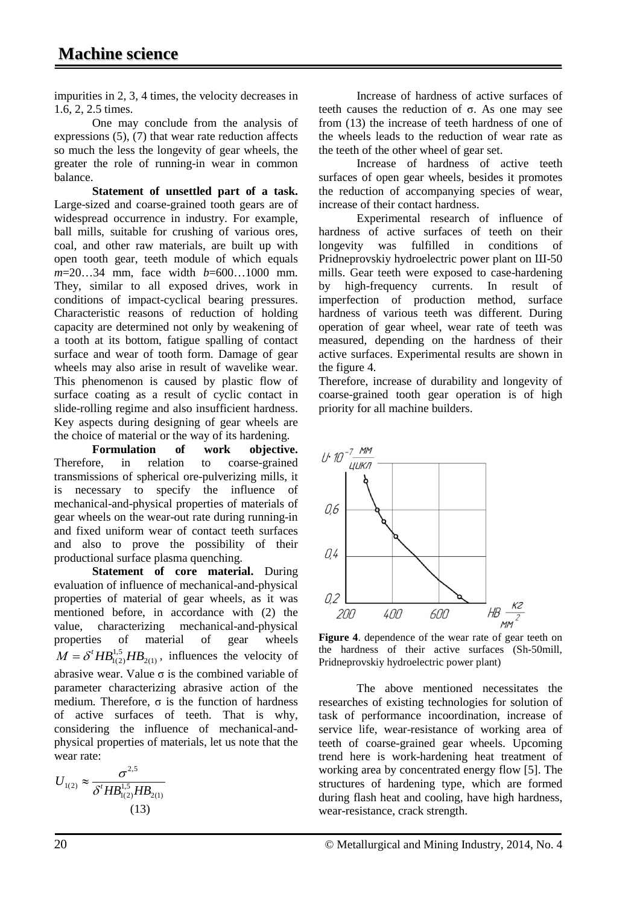impurities in 2, 3, 4 times, the velocity decreases in 1.6, 2, 2.5 times.

One may conclude from the analysis of expressions (5), (7) that wear rate reduction affects so much the less the longevity of gear wheels, the greater the role of running-in wear in common balance.

**Statement of unsettled part of a task.**  Large-sized and coarse-grained tooth gears are of widespread occurrence in industry. For example, ball mills, suitable for crushing of various ores, coal, and other raw materials, are built up with open tooth gear, teeth module of which equals *m*=20…34 mm, face width *b*=600…1000 mm. They, similar to all exposed drives, work in conditions of impact-cyclical bearing pressures. Characteristic reasons of reduction of holding capacity are determined not only by weakening of a tooth at its bottom, fatigue spalling of contact surface and wear of tooth form. Damage of gear wheels may also arise in result of wavelike wear. This phenomenon is caused by plastic flow of surface coating as a result of cyclic contact in slide-rolling regime and also insufficient hardness. Key aspects during designing of gear wheels are the choice of material or the way of its hardening.

**Formulation of work objective.**  Therefore, in relation to coarse-grained transmissions of spherical ore-pulverizing mills, it is necessary to specify the influence of mechanical-and-physical properties of materials of gear wheels on the wear-out rate during running-in and fixed uniform wear of contact teeth surfaces and also to prove the possibility of their productional surface plasma quenching.

**Statement of core material.** During evaluation of influence of mechanical-and-physical properties of material of gear wheels, as it was mentioned before, in accordance with (2) the value, characterizing mechanical-and-physical properties of material of gear wheels  $M = \delta^t H B_{1(2)}^{1,5} H B_{2(1)}$ , influences the velocity of abrasive wear. Value  $\sigma$  is the combined variable of parameter characterizing abrasive action of the medium. Therefore,  $\sigma$  is the function of hardness of active surfaces of teeth. That is why, considering the influence of mechanical-andphysical properties of materials, let us note that the wear rate:

$$
U_{1(2)} \approx \frac{\sigma^{2.5}}{\delta^t H B_{1(2)}^{1.5} H B_{2(1)}}\tag{13}
$$

Increase of hardness of active surfaces of teeth causes the reduction of σ. As one may see from (13) the increase of teeth hardness of one of the wheels leads to the reduction of wear rate as the teeth of the other wheel of gear set.

Increase of hardness of active teeth surfaces of open gear wheels, besides it promotes the reduction of accompanying species of wear, increase of their contact hardness.

Experimental research of influence of hardness of active surfaces of teeth on their longevity was fulfilled in conditions of Pridneprovskiy hydroelectric power plant on Ш-50 mills. Gear teeth were exposed to case-hardening by high-frequency currents. In result of imperfection of production method, surface hardness of various teeth was different. During operation of gear wheel, wear rate of teeth was measured, depending on the hardness of their active surfaces. Experimental results are shown in the figure 4.

Therefore, increase of durability and longevity of coarse-grained tooth gear operation is of high priority for all machine builders.



**Figure 4**. dependence of the wear rate of gear teeth on the hardness of their active surfaces (Sh-50mill, Pridneprovskiy hydroelectric power plant)

The above mentioned necessitates the researches of existing technologies for solution of task of performance incoordination, increase of service life, wear-resistance of working area of teeth of coarse-grained gear wheels. Upcoming trend here is work-hardening heat treatment of working area by concentrated energy flow [5]. The structures of hardening type, which are formed during flash heat and cooling, have high hardness, wear-resistance, crack strength.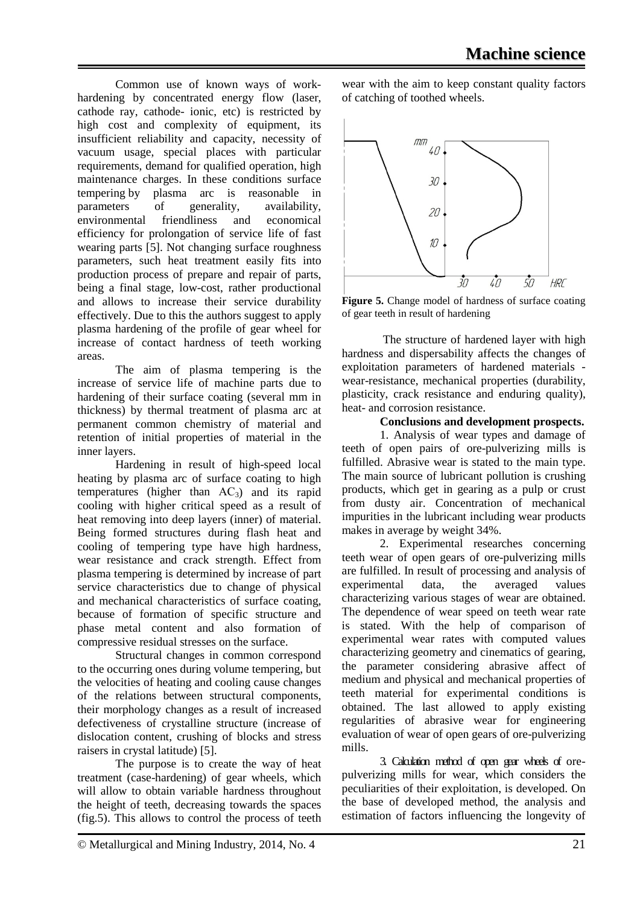Common use of known ways of workhardening by concentrated energy flow (laser, cathode ray, cathode- ionic, etc) is restricted by high cost and complexity of equipment, its insufficient reliability and capacity, necessity of vacuum usage, special places with particular requirements, demand for qualified operation, high maintenance charges. In these conditions [surface](http://www.multitran.ru/c/m.exe?t=6217151_1_2&s1=%EF%EE%E2%E5%F0%F5%ED%EE%F1%F2%ED%E0%FF%20%F2%E5%F0%EC%EE%EE%E1%F0%E0%E1%EE%F2%EA%E0)  [tempering](http://www.multitran.ru/c/m.exe?t=6217151_1_2&s1=%EF%EE%E2%E5%F0%F5%ED%EE%F1%F2%ED%E0%FF%20%F2%E5%F0%EC%EE%EE%E1%F0%E0%E1%EE%F2%EA%E0) by plasma arc is reasonable in<br>parameters of generality, availability, parameters of generality, availability, environmental friendliness and economical efficiency for prolongation of service life of fast wearing parts [5]. Not changing surface roughness parameters, such heat treatment easily fits into production process of prepare and repair of parts, being a final stage, low-cost, rather productional and allows to increase their service durability effectively. Due to this the authors suggest to apply plasma hardening of the profile of gear wheel for increase of contact hardness of teeth working areas.

The aim of plasma tempering is the increase of service life of machine parts due to hardening of their surface coating (several mm in thickness) by thermal treatment of plasma arc at permanent common chemistry of material and retention of initial properties of material in the inner layers.

Hardening in result of high-speed local heating by plasma arc of surface coating to high temperatures (higher than  $AC_3$ ) and its rapid cooling with higher critical speed as a result of heat removing into deep layers (inner) of material. Being formed structures during flash heat and cooling of tempering type have high hardness, wear resistance and crack strength. Effect from plasma tempering is determined by increase of part service characteristics due to change of physical and mechanical characteristics of surface coating, because of formation of specific structure and phase metal content and also formation of compressive residual stresses on the surface.

Structural changes in common correspond to the occurring ones during volume tempering, but the velocities of heating and cooling cause changes of the relations between structural components, their morphology changes as a result of increased defectiveness of crystalline structure (increase of dislocation content, crushing of blocks and stress raisers in crystal latitude) [5].

The purpose is to create the way of heat treatment (case-hardening) of gear wheels, which will allow to obtain variable hardness throughout the height of teeth, decreasing towards the spaces (fig.5). This allows to control the process of teeth

wear with the aim to keep constant quality factors of catching of toothed wheels.



**Figure 5.** Change model of hardness of surface coating of gear teeth in result of hardening

The structure of hardened layer with high hardness and dispersability affects the changes of exploitation parameters of hardened materials wear-resistance, mechanical properties (durability, plasticity, crack resistance and enduring quality), heat- and corrosion resistance.

## **Conclusions and development prospects.**

1. Analysis of wear types and damage of teeth of open pairs of ore-pulverizing mills is fulfilled. Abrasive wear is stated to the main type. The main source of lubricant pollution is crushing products, which get in gearing as a pulp or crust from dusty air. Concentration of mechanical impurities in the lubricant including wear products makes in average by weight 34%.

2. Experimental researches concerning teeth wear of open gears of ore-pulverizing mills are fulfilled. In result of processing and analysis of experimental data, the averaged values characterizing various stages of wear are obtained. The dependence of wear speed on teeth wear rate is stated. With the help of comparison of experimental wear rates with computed values characterizing geometry and cinematics of gearing, the parameter considering abrasive affect of medium and physical and mechanical properties of teeth material for experimental conditions is obtained. The last allowed to apply existing regularities of abrasive wear for engineering evaluation of wear of open gears of ore-pulverizing mills.

3. Calculation method of open gear wheels of orepulverizing mills for wear, which considers the peculiarities of their exploitation, is developed. On the base of developed method, the analysis and estimation of factors influencing the longevity of